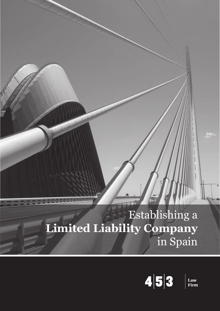## **Establishing a Limited Liability Company**  in Spain



**Law<br>Firm**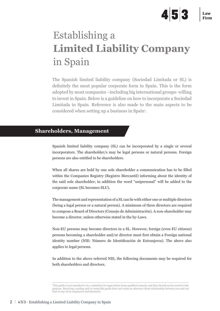# 453

## Establishing a **Limited Liability Company**  in Spain

The Spanish limited liability company (Sociedad Limitada or SL) is definitely the most popular corporate form in Spain. This is the form adopted by most companies –including big international groups- willing to invest in Spain. Below is a guideline on how to incorporate a Sociedad Limitada in Spain. Reference is also made to the main aspects to be considered when setting up a business in Spain<sup>1</sup>.

#### **Shareholders, Management**

Spanish limited liability company (SL) can be incorporated by a single or several incorporators. The shareholder/s may be legal persons or natural persons. Foreign persons are also entitled to be shareholders.

When all shares are hold by one sole shareholder a communication has to be filled within the Companies Registry (Registro Mercantil) informing about the identity of the said sole shareholder; in addition the word "unipersonal" will be added to the corporate name (SL becomes SLU).

The management and representation of a SL can lie with either one or multiple directors (being a legal person or a natural person). A minimum of three directors are required to compose a Board of Directors (Consejo de Administración). A non-shareholder may become a director, unless otherwise stated in the by-Laws.

Non-EU persons may become directors in a SL. However, foreign (even EU citizens) persons becoming a shareholder and/or director must first obtain a Foreign national identity number (NIE: Número de Identificación de Extranjeros). The above also applies to legal persons.

In addition to the above referred NIE, the following documents may be required for both shareholders and directors.

<sup>1</sup> This guide is not intended to be a substitute for legal advice from qualified counsel, and thus should not be used for this purpose. Receiving, reading and/or using this guide does not create an attorney-client relationship between you and our firm or any of its employees and attorneys.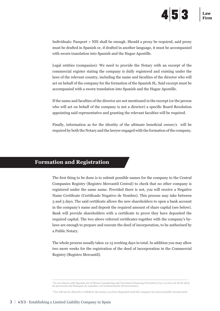Individuals: Passport + NIE shall be enough. Should a proxy be required, said proxy must be drafted in Spanish or, if drafted in another language, it must be accompanied with sworn translation into Spanish and the Hague Apostille.

Legal entities (companies): We need to provide the Notary with an excerpt of the commercial register stating the company is dully registered and existing under the laws of the relevant country, including the name and faculties of the director who will act on behalf of the company for the formation of the Spanish SL. Said excerpt must be accompanied with a sworn translation into Spanish and the Hague Apostille.

If the name and faculties of the director are not mentioned in the excerpt (or the person who will act on behalf of the company is not a director) a specific Board Resolution appointing said representative and granting the relevant faculties will be required.

Finally, information as for the identity of the ultimate beneficial owner/s will be required by both the Notary and the lawyer engaged with the formation of the company.

## **Formation and Registration**

The first thing to be done is to submit possible names for the company to the Central Companies Registry (Registro Mercantil Central) to check that no other company is registered under the same name. Provided there is not, you will receive a Negative Name Certificate (Certificado Negativo de Nombre). This process may take between 3 and 5 days. The said certificate allows the new shareholders to open a bank account in the company's name and deposit the required amount of share capital (see below). Bank will provide shareholders with a certificate to prove they have deposited the required capital. The two above referred certificates together with the company's bylaws are enough to prepare and execute the deed of incorporation, to be authorised by a Public Notary.

The whole process usually takes 12-15 working days in total. In addition you may allow two more weeks for the registration of the deed of incorporation in the Commercial Registry (Registro Mercantil).

<sup>2</sup> In accordance with Spanish Act of Money Laundering and Terrorism Financing Prevention (Ley 10/2010 de 28 de abril, de prevención del blanqueo de capitales y de la financiación del terrorismo).

<sup>3</sup> You will not be allowed to withdraw the money you have deposited until the company has been formally incorporated.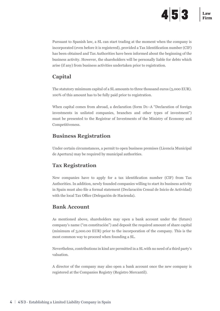Pursuant to Spanish law, a SL can start trading at the moment when the company is incorporated (even before it is registered), provided a Tax Identification number (CIF) has been obtained and Tax Authorities have been informed about the beginning of the business activity. However, the shareholders will be personally liable for debts which arise (if any) from business activities undertaken prior to registration.

## **Capital**

The statutory minimum capital of a SL amounts to three thousand euros (3,000 EUR). 100% of this amount has to be fully paid prior to registration.

When capital comes from abroad, a declaration (form D1–A "Declaration of foreign investments in unlisted companies, branches and other types of investment") must be presented to the Registrar of Investments of the Ministry of Economy and Competitiveness.

## **Business Registration**

Under certain circumstances, a permit to open business premises (Licencia Municipal de Apertura) may be required by municipal authorities.

## **Tax Registration**

New companies have to apply for a tax identification number (CIF) from Tax Authorities. In addition, newly founded companies willing to start its business activity in Spain must also file a formal statement (Declaración Censal de Inicio de Actividad) with the local Tax Office (Delegación de Hacienda).

## **Bank Account**

As mentioned above, shareholders may open a bank account under the (future) company's name ("en constitución") and deposit the required amount of share capital (minimum of 3,000.00 EUR) prior to the incorporation of the company. This is the most common way to proceed when founding a SL.

Nevertheless, contributions in kind are permitted in a SL with no need of a third party's valuation.

A director of the company may also open a bank account once the new company is registered at the Companies Registry (Registro Mercantil).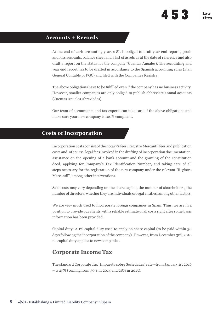#### **Accounts + Records**

At the end of each accounting year, a SL is obliged to draft year-end reports, profit and loss accounts, balance sheet and a list of assets as at the date of reference and also draft a report on the status for the company (Cuentas Anuales). The accounting and year end report has to be drafted in accordance to the Spanish accounting rules (Plan General Contable or PGC) and filed with the Companies Registry.

The above obligations have to be fulfilled even if the company has no business activity. However, smaller companies are only obliged to publish abbreviate annual accounts (Cuentas Anuales Abreviadas).

Our team of accountants and tax experts can take care of the above obligations and make sure your new company is 100% compliant.

#### **Costs of Incorporation**

Incorporation costs consist of the notary's fees, Registro Mercantil fees and publication costs and, of course, legal fees involved in the drafting of incorporation documentation, assistance on the opening of a bank account and the granting of the constitution deed, applying for Company's Tax Identification Number, and taking care of all steps necessary for the registration of the new company under the relevant "Registro Mercantil", among other interventions.

Said costs may vary depending on the share capital, the number of shareholders, the number of directors, whether they are individuals or legal entities, among other factors.

We are very much used to incorporate foreign companies in Spain. Thus, we are in a position to provide our clients with a reliable estimate of all costs right after some basic information has been provided.

Capital duty: A 1% capital duty used to apply on share capital (to be paid within 30 days following the incorporation of the company). However, from December 3rd, 2010 no capital duty applies to new companies.

### **Corporate Income Tax**

The standard Corporate Tax (Impuesto sobre Sociedades) rate –from January 1st 2016 – is 25% (coming from 30% in 2014 and 28% in 2015).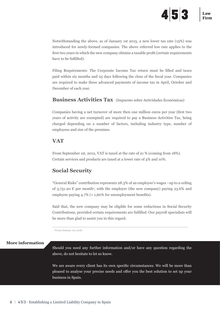Notwithstanding the above, as of January 1st 2015, a new lower tax rate (15%) was introduced for newly-formed companies. The above referred low rate applies to the first two years in which the new company obtains a taxable profit (certain requirements have to be fulfilled).

Filing Requirements: The Corporate Income Tax return must be filled and taxes paid within six months and 25 days following the close of the fiscal year. Companies are required to make three advanced payments of income tax in April, October and December of each year.

#### **Business Activities Tax** (Impuesto sobre Actividades Económicas)

Companies having a net turnover of more then one million euros per year (first two years of activity are exempted) are required to pay a Business Activities Tax, being charged depending on a number of factors, including industry type, number of employees and size of the premises.

#### **VAT**

From September 1st, 2012, VAT is taxed at the rate of 21 % (coming from 18%). Certain services and products are taxed at a lower rate of 4% and 10%.

### **Social Security**

"General Risks" contribution represents 28.3% of an employee's wages –up to a ceiling of 3,751.20  $\epsilon$  per month<sup>4</sup>, with the employer (the new company) paying 23.6% and employee paying 4.7% (+ 1,60% for unemployment benefits).

Said that, the new company may be eligible for some reductions in Social Security Contributions, provided certain requirements are fulfilled. Our payroll specialists will be more than glad to assist you in this regard.

4 From January 1st, 2018.

#### **More information**

Should you need any further information and/or have any question regarding the above, do not hesitate to let us know.

We are aware every client has its own specific circumstances. We will be more than pleased to analyse your precise needs and offer you the best solution to set up your business in Spain.